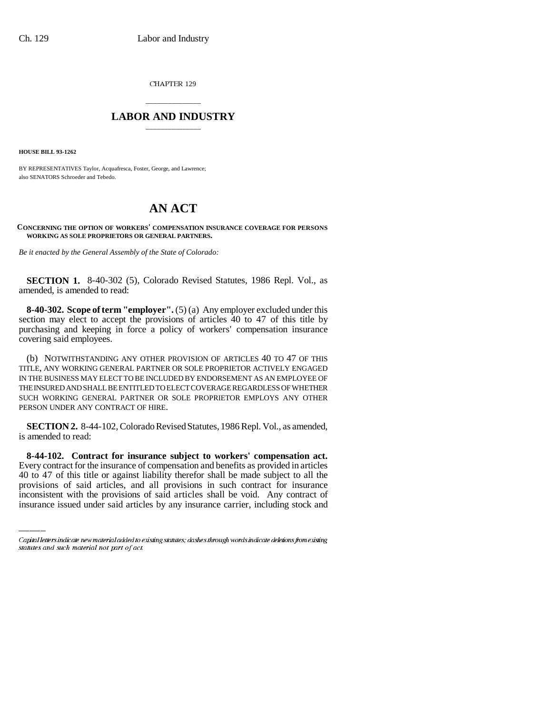CHAPTER 129

## \_\_\_\_\_\_\_\_\_\_\_\_\_\_\_ **LABOR AND INDUSTRY** \_\_\_\_\_\_\_\_\_\_\_\_\_\_\_

**HOUSE BILL 93-1262**

BY REPRESENTATIVES Taylor, Acquafresca, Foster, George, and Lawrence; also SENATORS Schroeder and Tebedo.

## **AN ACT**

**CONCERNING THE OPTION OF WORKERS' COMPENSATION INSURANCE COVERAGE FOR PERSONS WORKING AS SOLE PROPRIETORS OR GENERAL PARTNERS.**

*Be it enacted by the General Assembly of the State of Colorado:*

**SECTION 1.** 8-40-302 (5), Colorado Revised Statutes, 1986 Repl. Vol., as amended, is amended to read:

**8-40-302. Scope of term "employer".** (5) (a) Any employer excluded under this section may elect to accept the provisions of articles 40 to 47 of this title by purchasing and keeping in force a policy of workers' compensation insurance covering said employees.

(b) NOTWITHSTANDING ANY OTHER PROVISION OF ARTICLES 40 TO 47 OF THIS TITLE, ANY WORKING GENERAL PARTNER OR SOLE PROPRIETOR ACTIVELY ENGAGED IN THE BUSINESS MAY ELECT TO BE INCLUDED BY ENDORSEMENT AS AN EMPLOYEE OF THE INSURED AND SHALL BE ENTITLED TO ELECT COVERAGE REGARDLESS OF WHETHER SUCH WORKING GENERAL PARTNER OR SOLE PROPRIETOR EMPLOYS ANY OTHER PERSON UNDER ANY CONTRACT OF HIRE.

**SECTION 2.** 8-44-102, Colorado Revised Statutes, 1986 Repl. Vol., as amended, is amended to read:

Every contract for the insurance of compensation and benefits as provided in articles **8-44-102. Contract for insurance subject to workers' compensation act.** 40 to 47 of this title or against liability therefor shall be made subject to all the provisions of said articles, and all provisions in such contract for insurance inconsistent with the provisions of said articles shall be void. Any contract of insurance issued under said articles by any insurance carrier, including stock and

Capital letters indicate new material added to existing statutes; dashes through words indicate deletions from existing statutes and such material not part of act.